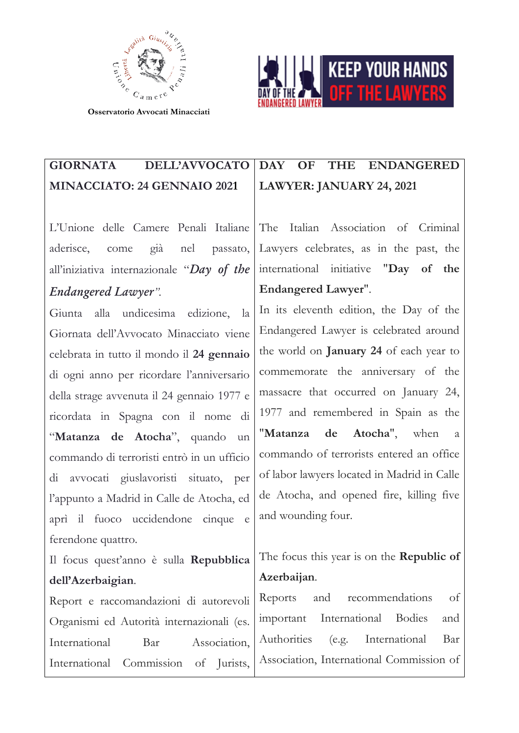



## GIORNATA DELL'AVVOCATO MINACCIATO: 24 GENNAIO 2021

L'Unione delle Camere Penali Italiane aderisce, come già nel passato, all'iniziativa internazionale "*Day of the Endangered Lawyer".*

Giunta alla undicesima edizione, la Giornata dell'Avvocato Minacciato viene celebrata in tutto il mondo il 24 gennaio di ogni anno per ricordare l'anniversario della strage avvenuta il 24 gennaio 1977 e ricordata in Spagna con il nome di "Matanza de Atocha", quando un commando di terroristi entrò in un ufficio di avvocati giuslavoristi situato, per l'appunto a Madrid in Calle de Atocha, ed aprì il fuoco uccidendone cinque e ferendone quattro.

Il focus quest'anno è sulla Repubblica dell'Azerbaigian.

Report e raccomandazioni di autorevoli Organismi ed Autorità internazionali (es. International Bar Association, International Commission of Jurists,

## DAY OF THE ENDANGERED LAWYER: JANUARY 24, 2021

The Italian Association of Criminal Lawyers celebrates, as in the past, the international initiative "Day of the Endangered Lawyer".

In its eleventh edition, the Day of the Endangered Lawyer is celebrated around the world on January 24 of each year to commemorate the anniversary of the massacre that occurred on January 24, 1977 and remembered in Spain as the "Matanza de Atocha", when a commando of terrorists entered an office of labor lawyers located in Madrid in Calle de Atocha, and opened fire, killing five and wounding four.

## The focus this year is on the **Republic of** Azerbaijan.

Reports and recommendations of important International Bodies and Authorities (e.g. International Bar Association, International Commission of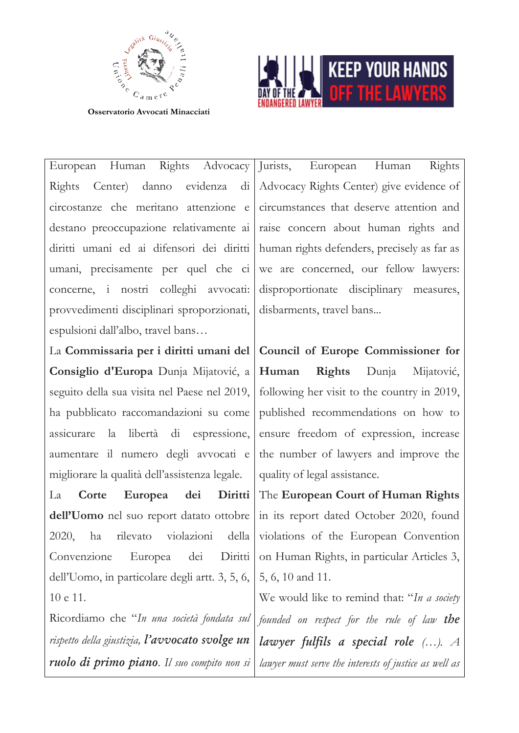



European Human Rights Advocacy Rights Center) danno evidenza di circostanze che meritano attenzione e destano preoccupazione relativamente ai diritti umani ed ai difensori dei diritti umani, precisamente per quel che ci concerne, i nostri colleghi avvocati: provvedimenti disciplinari sproporzionati, espulsioni dall'albo, travel bans…

La Commissaria per i diritti umani del Consiglio d'Europa Dunja Mijatović, a seguito della sua visita nel Paese nel 2019, ha pubblicato raccomandazioni su come assicurare la libertà di espressione, aumentare il numero degli avvocati e migliorare la qualità dell'assistenza legale.

La Corte Europea dei Diritti dell'Uomo nel suo report datato ottobre 2020, ha rilevato violazioni della Convenzione Europea dei Diritti dell'Uomo, in particolare degli artt. 3, 5, 6, 10 e 11.

Ricordiamo che "*In una società fondata sul rispetto della giustizia, l'avvocato svolge un ruolo di primo piano. Il suo compito non si*  Jurists, European Human Rights Advocacy Rights Center) give evidence of circumstances that deserve attention and raise concern about human rights and human rights defenders, precisely as far as we are concerned, our fellow lawyers: disproportionate disciplinary measures, disbarments, travel bans...

Council of Europe Commissioner for Human Rights Dunja Mijatović, following her visit to the country in 2019, published recommendations on how to ensure freedom of expression, increase the number of lawyers and improve the quality of legal assistance.

The European Court of Human Rights in its report dated October 2020, found violations of the European Convention on Human Rights, in particular Articles 3, 5, 6, 10 and 11.

We would like to remind that: "*In a society founded on respect for the rule of law the lawyer fulfils a special role (…). A lawyer must serve the interests of justice as well as*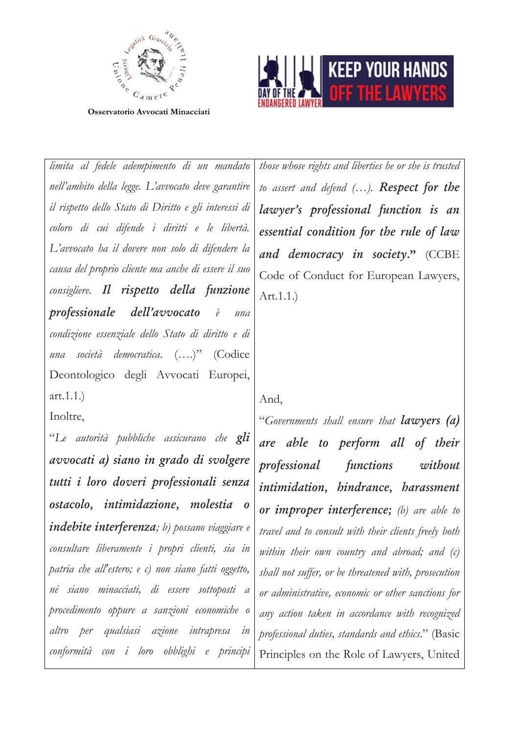



*limita al fedele adempimento di un mandato nell'ambito della legge. L'avvocato deve garantire il rispetto dello Stato di Diritto e gli interessi di coloro di cui difende i diritti e le libertà. L'avvocato ha il dovere non solo di difendere la causa del proprio cliente ma anche di essere il suo consigliere. Il rispetto della funzione professionale dell'avvocato è una condizione essenziale dello Stato di diritto e di una società democratica*. (….)" (Codice Deontologico degli Avvocati Europei, art.1.1.) Inoltre,

"*Le autorità pubbliche assicurano che gli avvocati a) siano in grado di svolgere tutti i loro doveri professionali senza ostacolo, intimidazione, molestia o indebite interferenza; b) possano viaggiare e consultare liberamente i propri clienti, sia in patria che all'estero; e c) non siano fatti oggetto, né siano minacciati, di essere sottoposti a procedimento oppure a sanzioni economiche o altro per qualsiasi azione intrapresa in conformità con i loro obblighi e principi*  *those whose rights and liberties he or she is trusted to assert and defend (…). Respect for the lawyer's professional function is an essential condition for the rule of law and democracy in society*." (CCBE Code of Conduct for European Lawyers, Art.1.1.)

And,

"*Governments shall ensure that lawyers (a) are able to perform all of their professional functions without intimidation, hindrance, harassment or improper interference; (b) are able to travel and to consult with their clients freely both within their own country and abroad; and (c) shall not suffer, or be threatened with, prosecution or administrative, economic or other sanctions for any action taken in accordance with recognized professional duties, standards and ethics*." (Basic Principles on the Role of Lawyers, United